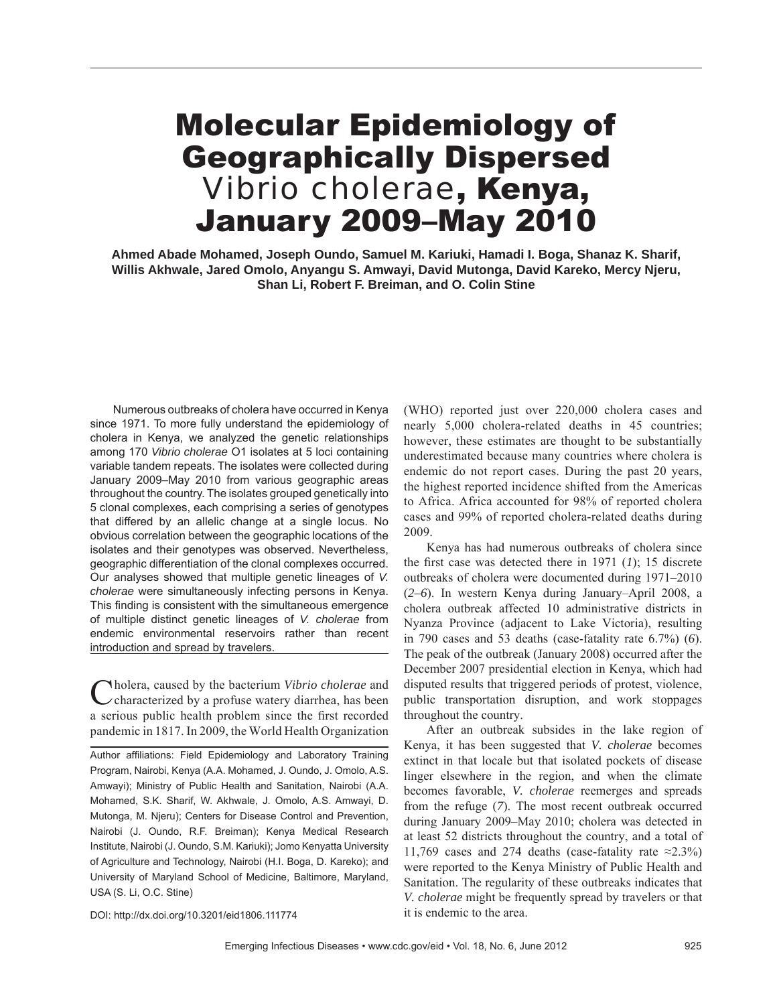### Molecular Epidemiology of Geographically Dispersed *Vibrio cholerae*, Kenya, January 2009–May 2010

**Ahmed Abade Mohamed, Joseph Oundo, Samuel M. Kariuki, Hamadi I. Boga, Shanaz K. Sharif, Willis Akhwale, Jared Omolo, Anyangu S. Amwayi, David Mutonga, David Kareko, Mercy Njeru, Shan Li, Robert F. Breiman, and O. Colin Stine**

Numerous outbreaks of cholera have occurred in Kenya since 1971. To more fully understand the epidemiology of cholera in Kenya, we analyzed the genetic relationships among 170 *Vibrio cholerae* O1 isolates at 5 loci containing variable tandem repeats. The isolates were collected during January 2009–May 2010 from various geographic areas throughout the country. The isolates grouped genetically into 5 clonal complexes, each comprising a series of genotypes that differed by an allelic change at a single locus. No obvious correlation between the geographic locations of the isolates and their genotypes was observed. Nevertheless, geographic differentiation of the clonal complexes occurred. Our analyses showed that multiple genetic lineages of *V. cholerae* were simultaneously infecting persons in Kenya. This finding is consistent with the simultaneous emergence of multiple distinct genetic lineages of *V. cholerae* from endemic environmental reservoirs rather than recent introduction and spread by travelers.

Cholera, caused by the bacterium *Vibrio cholerae* and characterized by a profuse watery diarrhea, has been a serious public health problem since the first recorded pandemic in 1817. In 2009, the World Health Organization

Author affiliations: Field Epidemiology and Laboratory Training Program, Nairobi, Kenya (A.A. Mohamed, J. Oundo, J. Omolo, A.S. Amwayi); Ministry of Public Health and Sanitation, Nairobi (A.A. Mohamed, S.K. Sharif, W. Akhwale, J. Omolo, A.S. Amwayi, D. Mutonga, M. Njeru); Centers for Disease Control and Prevention, Nairobi (J. Oundo, R.F. Breiman); Kenya Medical Research Institute, Nairobi (J. Oundo, S.M. Kariuki); Jomo Kenyatta University of Agriculture and Technology, Nairobi (H.I. Boga, D. Kareko); and University of Maryland School of Medicine, Baltimore, Maryland, USA (S. Li, O.C. Stine)

(WHO) reported just over 220,000 cholera cases and nearly 5,000 cholera-related deaths in 45 countries; however, these estimates are thought to be substantially underestimated because many countries where cholera is endemic do not report cases. During the past 20 years, the highest reported incidence shifted from the Americas to Africa. Africa accounted for 98% of reported cholera cases and 99% of reported cholera-related deaths during 2009.

Kenya has had numerous outbreaks of cholera since the first case was detected there in  $1971$  (*1*); 15 discrete outbreaks of cholera were documented during 1971–2010 (*2–6*). In western Kenya during January–April 2008, a cholera outbreak affected 10 administrative districts in Nyanza Province (adjacent to Lake Victoria), resulting in 790 cases and 53 deaths (case-fatality rate 6.7%) (*6*). The peak of the outbreak (January 2008) occurred after the December 2007 presidential election in Kenya, which had disputed results that triggered periods of protest, violence, public transportation disruption, and work stoppages throughout the country.

After an outbreak subsides in the lake region of Kenya, it has been suggested that *V. cholerae* becomes extinct in that locale but that isolated pockets of disease linger elsewhere in the region, and when the climate becomes favorable, *V. cholerae* reemerges and spreads from the refuge (*7*). The most recent outbreak occurred during January 2009–May 2010; cholera was detected in at least 52 districts throughout the country, and a total of 11,769 cases and 274 deaths (case-fatality rate  $\approx$ 2.3%) were reported to the Kenya Ministry of Public Health and Sanitation. The regularity of these outbreaks indicates that *V. cholerae* might be frequently spread by travelers or that it is endemic to the area.

DOI: http://dx.doi.org/10.3201/eid1806.111774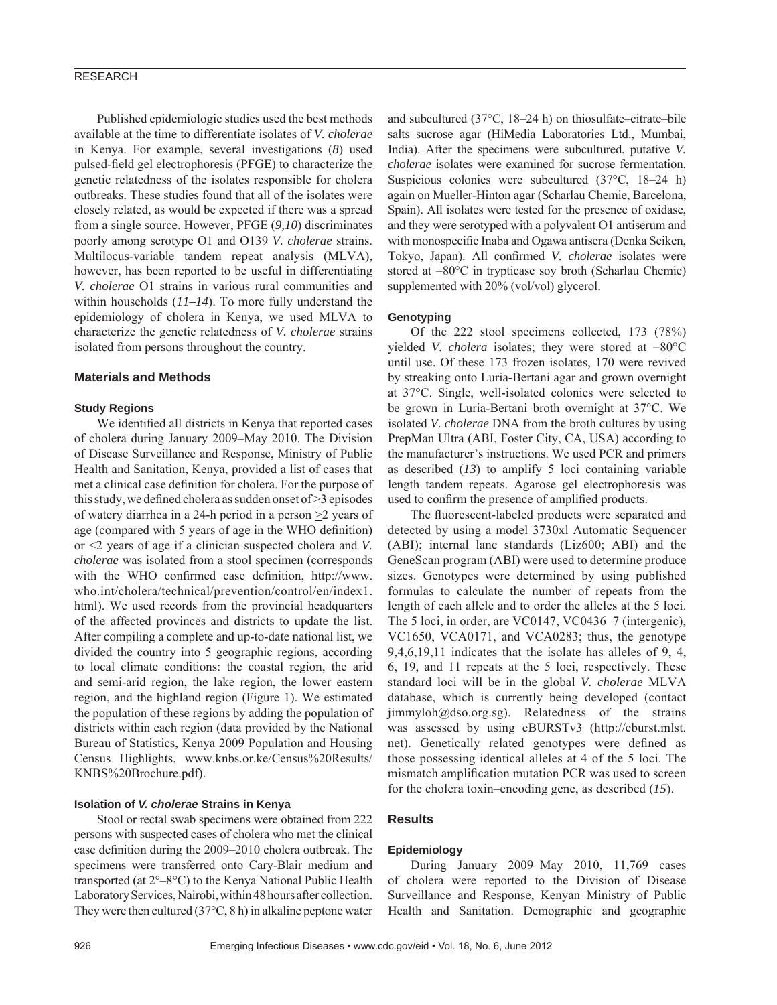#### RESEARCH

Published epidemiologic studies used the best methods available at the time to differentiate isolates of *V. cholerae* in Kenya. For example, several investigations (*8*) used pulsed-field gel electrophoresis (PFGE) to characterize the genetic relatedness of the isolates responsible for cholera outbreaks. These studies found that all of the isolates were closely related, as would be expected if there was a spread from a single source. However, PFGE (*9,10*) discriminates poorly among serotype O1 and O139 *V. cholerae* strains. Multilocus-variable tandem repeat analysis (MLVA), however, has been reported to be useful in differentiating *V. cholerae* O1 strains in various rural communities and within households (*11–14*). To more fully understand the epidemiology of cholera in Kenya, we used MLVA to characterize the genetic relatedness of *V. cholerae* strains isolated from persons throughout the country.

#### **Materials and Methods**

#### **Study Regions**

We identified all districts in Kenya that reported cases of cholera during January 2009–May 2010. The Division of Disease Surveillance and Response, Ministry of Public Health and Sanitation, Kenya, provided a list of cases that met a clinical case definition for cholera. For the purpose of this study, we defined cholera as sudden onset of  $\geq$ 3 episodes of watery diarrhea in a 24-h period in a person  $\geq$  years of age (compared with 5 years of age in the WHO definition) or <2 years of age if a clinician suspected cholera and *V. cholerae* was isolated from a stool specimen (corresponds with the WHO confirmed case definition, http://www. who.int/cholera/technical/prevention/control/en/index1. html). We used records from the provincial headquarters of the affected provinces and districts to update the list. After compiling a complete and up-to-date national list, we divided the country into 5 geographic regions, according to local climate conditions: the coastal region, the arid and semi-arid region, the lake region, the lower eastern region, and the highland region (Figure 1). We estimated the population of these regions by adding the population of districts within each region (data provided by the National Bureau of Statistics, Kenya 2009 Population and Housing Census Highlights, www.knbs.or.ke/Census%20Results/ KNBS%20Brochure.pdf).

#### **Isolation of** *V. cholerae* **Strains in Kenya**

Stool or rectal swab specimens were obtained from 222 persons with suspected cases of cholera who met the clinical case definition during the 2009–2010 cholera outbreak. The specimens were transferred onto Cary-Blair medium and transported (at 2°–8°C) to the Kenya National Public Health Laboratory Services, Nairobi, within 48 hours after collection. They were then cultured (37°C, 8 h) in alkaline peptone water

and subcultured (37°C, 18–24 h) on thiosulfate–citrate–bile salts–sucrose agar (HiMedia Laboratories Ltd., Mumbai, India). After the specimens were subcultured, putative *V. cholerae* isolates were examined for sucrose fermentation. Suspicious colonies were subcultured (37°C, 18–24 h) again on Mueller-Hinton agar (Scharlau Chemie, Barcelona, Spain). All isolates were tested for the presence of oxidase, and they were serotyped with a polyvalent O1 antiserum and with monospecific Inaba and Ogawa antisera (Denka Seiken, Tokyo, Japan). All confirmed *V. cholerae* isolates were stored at −80°C in trypticase soy broth (Scharlau Chemie) supplemented with 20% (vol/vol) glycerol.

#### **Genotyping**

Of the 222 stool specimens collected, 173 (78%) yielded *V. cholera* isolates; they were stored at −80°C until use. Of these 173 frozen isolates, 170 were revived by streaking onto Luria-Bertani agar and grown overnight at 37°C. Single, well-isolated colonies were selected to be grown in Luria-Bertani broth overnight at 37°C. We isolated *V. cholerae* DNA from the broth cultures by using PrepMan Ultra (ABI, Foster City, CA, USA) according to the manufacturer's instructions. We used PCR and primers as described (*13*) to amplify 5 loci containing variable length tandem repeats. Agarose gel electrophoresis was used to confirm the presence of amplified products.

The fluorescent-labeled products were separated and detected by using a model 3730xl Automatic Sequencer (ABI); internal lane standards (Liz600; ABI) and the GeneScan program (ABI) were used to determine produce sizes. Genotypes were determined by using published formulas to calculate the number of repeats from the length of each allele and to order the alleles at the 5 loci. The 5 loci, in order, are VC0147, VC0436–7 (intergenic), VC1650, VCA0171, and VCA0283; thus, the genotype 9,4,6,19,11 indicates that the isolate has alleles of 9, 4, 6, 19, and 11 repeats at the 5 loci, respectively. These standard loci will be in the global *V. cholerae* MLVA database, which is currently being developed (contact  $jimmyloh@dso.org.sg$ ). Relatedness of the strains was assessed by using eBURSTv3 (http://eburst.mlst. net). Genetically related genotypes were defined as those possessing identical alleles at 4 of the 5 loci. The mismatch amplification mutation PCR was used to screen for the cholera toxin–encoding gene, as described (*15*).

#### **Results**

#### **Epidemiology**

During January 2009–May 2010, 11,769 cases of cholera were reported to the Division of Disease Surveillance and Response, Kenyan Ministry of Public Health and Sanitation. Demographic and geographic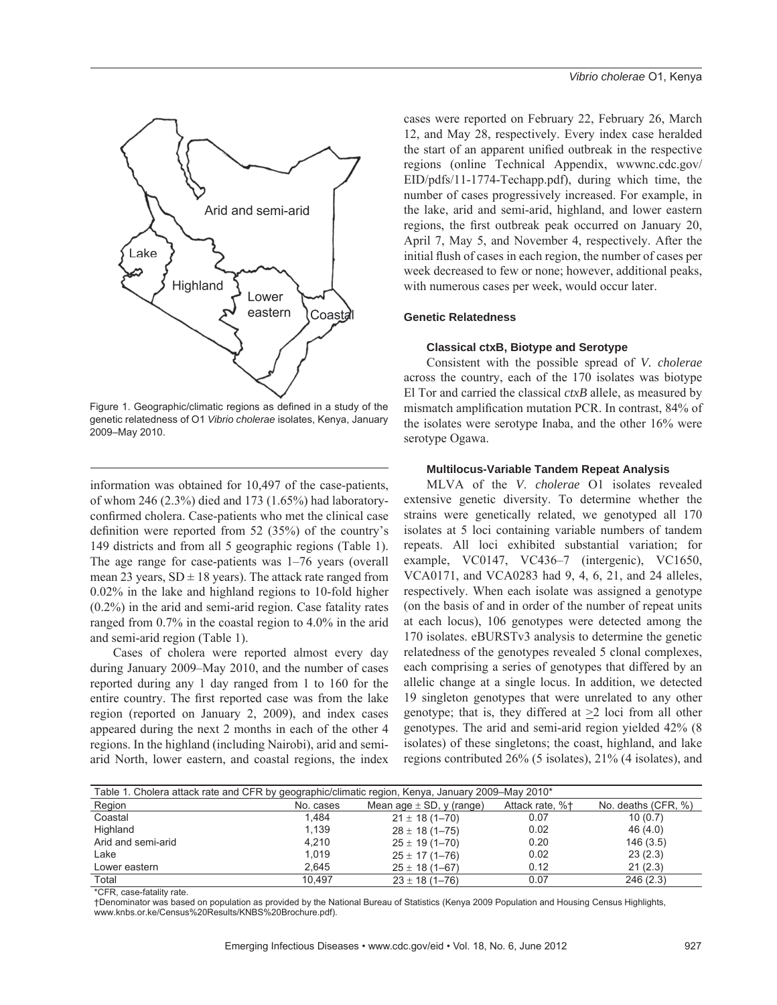

Figure 1. Geographic/climatic regions as defined in a study of the genetic relatedness of O1 *Vibrio cholerae* isolates, Kenya, January 2009–May 2010.

information was obtained for 10,497 of the case-patients, of whom 246 (2.3%) died and 173 (1.65%) had laboratoryconfirmed cholera. Case-patients who met the clinical case definition were reported from  $52$  (35%) of the country's 149 districts and from all 5 geographic regions (Table 1). The age range for case-patients was 1–76 years (overall mean 23 years,  $SD \pm 18$  years). The attack rate ranged from 0.02% in the lake and highland regions to 10-fold higher (0.2%) in the arid and semi-arid region. Case fatality rates ranged from 0.7% in the coastal region to 4.0% in the arid and semi-arid region (Table 1).

Cases of cholera were reported almost every day during January 2009–May 2010, and the number of cases reported during any 1 day ranged from 1 to 160 for the entire country. The first reported case was from the lake region (reported on January 2, 2009), and index cases appeared during the next 2 months in each of the other 4 regions. In the highland (including Nairobi), arid and semiarid North, lower eastern, and coastal regions, the index

cases were reported on February 22, February 26, March 12, and May 28, respectively. Every index case heralded the start of an apparent unified outbreak in the respective regions (online Technical Appendix, wwwnc.cdc.gov/ EID/pdfs/11-1774-Techapp.pdf), during which time, the number of cases progressively increased. For example, in the lake, arid and semi-arid, highland, and lower eastern regions, the first outbreak peak occurred on January 20, April 7, May 5, and November 4, respectively. After the initial flush of cases in each region, the number of cases per week decreased to few or none; however, additional peaks, with numerous cases per week, would occur later.

#### **Genetic Relatedness**

#### **Classical ctxB, Biotype and Serotype**

Consistent with the possible spread of *V. cholerae* across the country, each of the 170 isolates was biotype El Tor and carried the classical *ctxB* allele, as measured by mismatch amplification mutation PCR. In contrast, 84% of the isolates were serotype Inaba, and the other 16% were serotype Ogawa.

#### **Multilocus-Variable Tandem Repeat Analysis**

MLVA of the *V*. *cholerae* O1 isolates revealed extensive genetic diversity. To determine whether the strains were genetically related, we genotyped all 170 isolates at 5 loci containing variable numbers of tandem repeats. All loci exhibited substantial variation; for example, VC0147, VC436–7 (intergenic), VC1650, VCA0171, and VCA0283 had 9, 4, 6, 21, and 24 alleles, respectively. When each isolate was assigned a genotype (on the basis of and in order of the number of repeat units at each locus), 106 genotypes were detected among the 170 isolates. eBURSTv3 analysis to determine the genetic relatedness of the genotypes revealed 5 clonal complexes, each comprising a series of genotypes that differed by an allelic change at a single locus. In addition, we detected 19 singleton genotypes that were unrelated to any other genotype; that is, they differed at  $\geq 2$  loci from all other genotypes. The arid and semi-arid region yielded 42% (8 isolates) of these singletons; the coast, highland, and lake regions contributed 26% (5 isolates), 21% (4 isolates), and

| Table 1. Cholera attack rate and CFR by geographic/climatic region, Kenya, January 2009–May 2010* |           |                              |                     |          |  |  |  |  |
|---------------------------------------------------------------------------------------------------|-----------|------------------------------|---------------------|----------|--|--|--|--|
| Region                                                                                            | No. cases | Mean age $\pm$ SD, y (range) | No. deaths (CFR, %) |          |  |  |  |  |
| Coastal                                                                                           | 1.484     | $21 \pm 18(1 - 70)$          | 0.07                | 10(0.7)  |  |  |  |  |
| Highland                                                                                          | 1.139     | $28 \pm 18(1 - 75)$          | 0.02                | 46(4.0)  |  |  |  |  |
| Arid and semi-arid                                                                                | 4.210     | $25 \pm 19(1 - 70)$          | 0.20                | 146(3.5) |  |  |  |  |
| Lake                                                                                              | 1.019     | $25 \pm 17(1 - 76)$          | 0.02                | 23(2.3)  |  |  |  |  |
| Lower eastern                                                                                     | 2,645     | $25 \pm 18(1 - 67)$          | 0.12                | 21(2.3)  |  |  |  |  |
| Total                                                                                             | 10.497    | $23 \pm 18(1 - 76)$          | 0.07                | 246(2.3) |  |  |  |  |

\*CFR, case-fatality rate.

†Denominator was based on population as provided by the National Bureau of Statistics (Kenya 2009 Population and Housing Census Highlights, www.knbs.or.ke/Census%20Results/KNBS%20Brochure.pdf).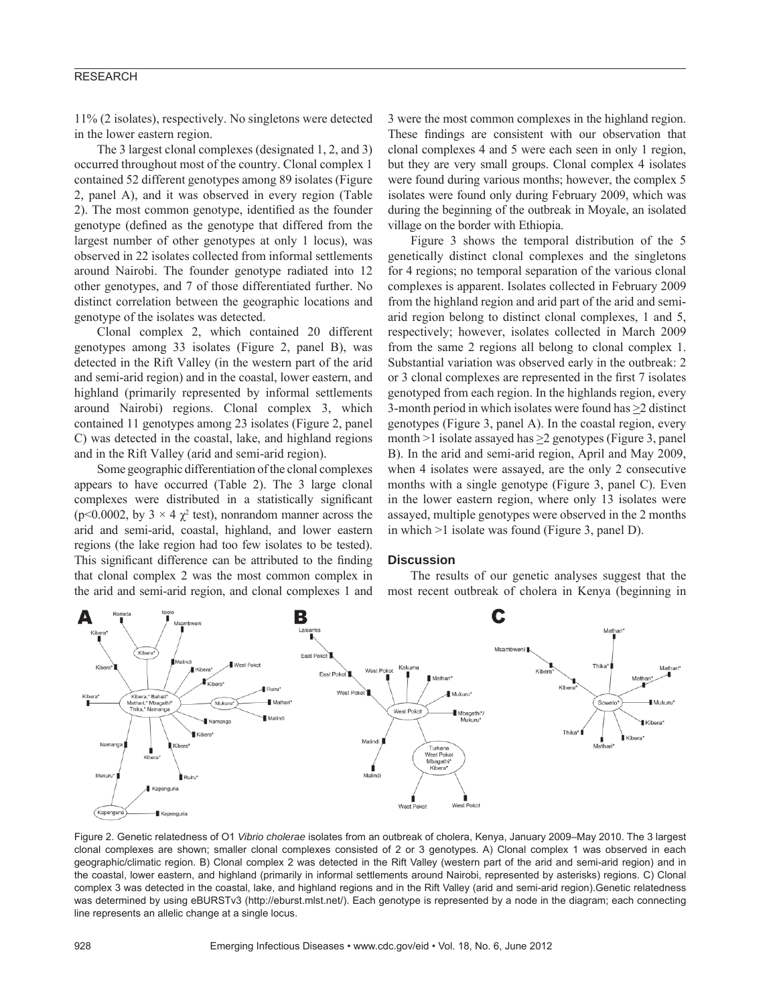#### RESEARCH

11% (2 isolates), respectively. No singletons were detected in the lower eastern region.

The 3 largest clonal complexes (designated 1, 2, and 3) occurred throughout most of the country. Clonal complex 1 contained 52 different genotypes among 89 isolates (Figure 2, panel A), and it was observed in every region (Table 2). The most common genotype, identified as the founder genotype (defined as the genotype that differed from the largest number of other genotypes at only 1 locus), was observed in 22 isolates collected from informal settlements around Nairobi. The founder genotype radiated into 12 other genotypes, and 7 of those differentiated further. No distinct correlation between the geographic locations and genotype of the isolates was detected.

Clonal complex 2, which contained 20 different genotypes among 33 isolates (Figure 2, panel B), was detected in the Rift Valley (in the western part of the arid and semi-arid region) and in the coastal, lower eastern, and highland (primarily represented by informal settlements around Nairobi) regions. Clonal complex 3, which contained 11 genotypes among 23 isolates (Figure 2, panel C) was detected in the coastal, lake, and highland regions and in the Rift Valley (arid and semi-arid region).

Some geographic differentiation of the clonal complexes appears to have occurred (Table 2). The 3 large clonal complexes were distributed in a statistically significant ( $p$ <0.0002, by  $3 \times 4 \chi^2$  test), nonrandom manner across the arid and semi-arid, coastal, highland, and lower eastern regions (the lake region had too few isolates to be tested). This significant difference can be attributed to the finding that clonal complex 2 was the most common complex in the arid and semi-arid region, and clonal complexes 1 and

3 were the most common complexes in the highland region. These findings are consistent with our observation that clonal complexes 4 and 5 were each seen in only 1 region, but they are very small groups. Clonal complex 4 isolates were found during various months; however, the complex 5 isolates were found only during February 2009, which was during the beginning of the outbreak in Moyale, an isolated village on the border with Ethiopia.

Figure 3 shows the temporal distribution of the 5 genetically distinct clonal complexes and the singletons for 4 regions; no temporal separation of the various clonal complexes is apparent. Isolates collected in February 2009 from the highland region and arid part of the arid and semiarid region belong to distinct clonal complexes, 1 and 5, respectively; however, isolates collected in March 2009 from the same 2 regions all belong to clonal complex 1. Substantial variation was observed early in the outbreak: 2 or 3 clonal complexes are represented in the first 7 isolates genotyped from each region. In the highlands region, every 3-month period in which isolates were found has >2 distinct genotypes (Figure 3, panel A). In the coastal region, every month >1 isolate assayed has >2 genotypes (Figure 3, panel B). In the arid and semi-arid region, April and May 2009, when 4 isolates were assayed, are the only 2 consecutive months with a single genotype (Figure 3, panel C). Even in the lower eastern region, where only 13 isolates were assayed, multiple genotypes were observed in the 2 months in which >1 isolate was found (Figure 3, panel D).

#### **Discussion**

The results of our genetic analyses suggest that the most recent outbreak of cholera in Kenya (beginning in



Figure 2. Genetic relatedness of O1 *Vibrio cholerae* isolates from an outbreak of cholera, Kenya, January 2009–May 2010. The 3 largest clonal complexes are shown; smaller clonal complexes consisted of 2 or 3 genotypes. A) Clonal complex 1 was observed in each geographic/climatic region. B) Clonal complex 2 was detected in the Rift Valley (western part of the arid and semi-arid region) and in the coastal, lower eastern, and highland (primarily in informal settlements around Nairobi, represented by asterisks) regions. C) Clonal complex 3 was detected in the coastal, lake, and highland regions and in the Rift Valley (arid and semi-arid region).Genetic relatedness was determined by using eBURSTv3 (http://eburst.mlst.net/). Each genotype is represented by a node in the diagram; each connecting line represents an allelic change at a single locus.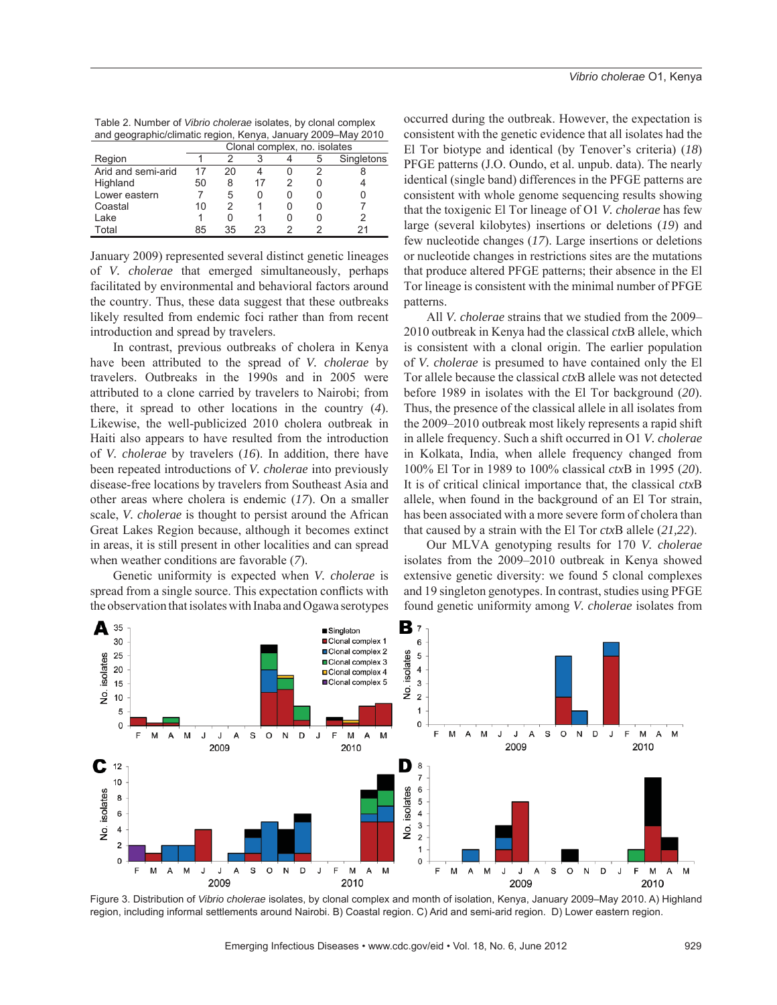| Table 2. Number of Vibrio cholerae isolates, by clonal complex |
|----------------------------------------------------------------|
| and geographic/climatic region, Kenya, January 2009–May 2010   |
|                                                                |

|                    | Clonal complex, no. isolates |    |    |  |   |            |
|--------------------|------------------------------|----|----|--|---|------------|
| Region             |                              |    |    |  | 5 | Singletons |
| Arid and semi-arid | 17                           |    |    |  |   |            |
| Highland           | 50                           | 8  | 17 |  |   |            |
| Lower eastern      |                              | 5  |    |  |   |            |
| Coastal            | 10                           |    |    |  |   |            |
| Lake               |                              |    |    |  |   |            |
| Total              | 85                           | 35 | 23 |  |   |            |

January 2009) represented several distinct genetic lineages of *V. cholerae* that emerged simultaneously, perhaps facilitated by environmental and behavioral factors around the country. Thus, these data suggest that these outbreaks likely resulted from endemic foci rather than from recent introduction and spread by travelers.

In contrast, previous outbreaks of cholera in Kenya have been attributed to the spread of *V. cholerae* by travelers. Outbreaks in the 1990s and in 2005 were attributed to a clone carried by travelers to Nairobi; from there, it spread to other locations in the country (*4*). Likewise, the well-publicized 2010 cholera outbreak in Haiti also appears to have resulted from the introduction of *V. cholerae* by travelers (*16*). In addition, there have been repeated introductions of *V. cholerae* into previously disease-free locations by travelers from Southeast Asia and other areas where cholera is endemic (*17*). On a smaller scale, *V. cholerae* is thought to persist around the African Great Lakes Region because, although it becomes extinct in areas, it is still present in other localities and can spread when weather conditions are favorable (*7*).

Genetic uniformity is expected when *V. cholerae* is spread from a single source. This expectation conflicts with the observation that isolates with Inaba and Ogawa serotypes

occurred during the outbreak. However, the expectation is consistent with the genetic evidence that all isolates had the El Tor biotype and identical (by Tenover's criteria) (*18*) PFGE patterns (J.O. Oundo, et al. unpub. data). The nearly identical (single band) differences in the PFGE patterns are consistent with whole genome sequencing results showing that the toxigenic El Tor lineage of O1 *V. cholerae* has few large (several kilobytes) insertions or deletions (*19*) and few nucleotide changes (*17*). Large insertions or deletions or nucleotide changes in restrictions sites are the mutations that produce altered PFGE patterns; their absence in the El Tor lineage is consistent with the minimal number of PFGE patterns.

All *V. cholerae* strains that we studied from the 2009– 2010 outbreak in Kenya had the classical *ctx*B allele, which is consistent with a clonal origin. The earlier population of *V. cholerae* is presumed to have contained only the El Tor allele because the classical *ctx*B allele was not detected before 1989 in isolates with the El Tor background (*20*). Thus, the presence of the classical allele in all isolates from the 2009–2010 outbreak most likely represents a rapid shift in allele frequency. Such a shift occurred in O1 *V. cholerae* in Kolkata, India, when allele frequency changed from 100% El Tor in 1989 to 100% classical *ctx*B in 1995 (*20*). It is of critical clinical importance that, the classical *ctx*B allele, when found in the background of an El Tor strain, has been associated with a more severe form of cholera than that caused by a strain with the El Tor *ctx*B allele (*21,22*).

Our MLVA genotyping results for 170 *V. cholerae* isolates from the 2009–2010 outbreak in Kenya showed extensive genetic diversity: we found 5 clonal complexes and 19 singleton genotypes. In contrast, studies using PFGE found genetic uniformity among *V. cholerae* isolates from



Figure 3. Distribution of *Vibrio cholerae* isolates, by clonal complex and month of isolation, Kenya, January 2009–May 2010. A) Highland region, including informal settlements around Nairobi. B) Coastal region. C) Arid and semi-arid region. D) Lower eastern region.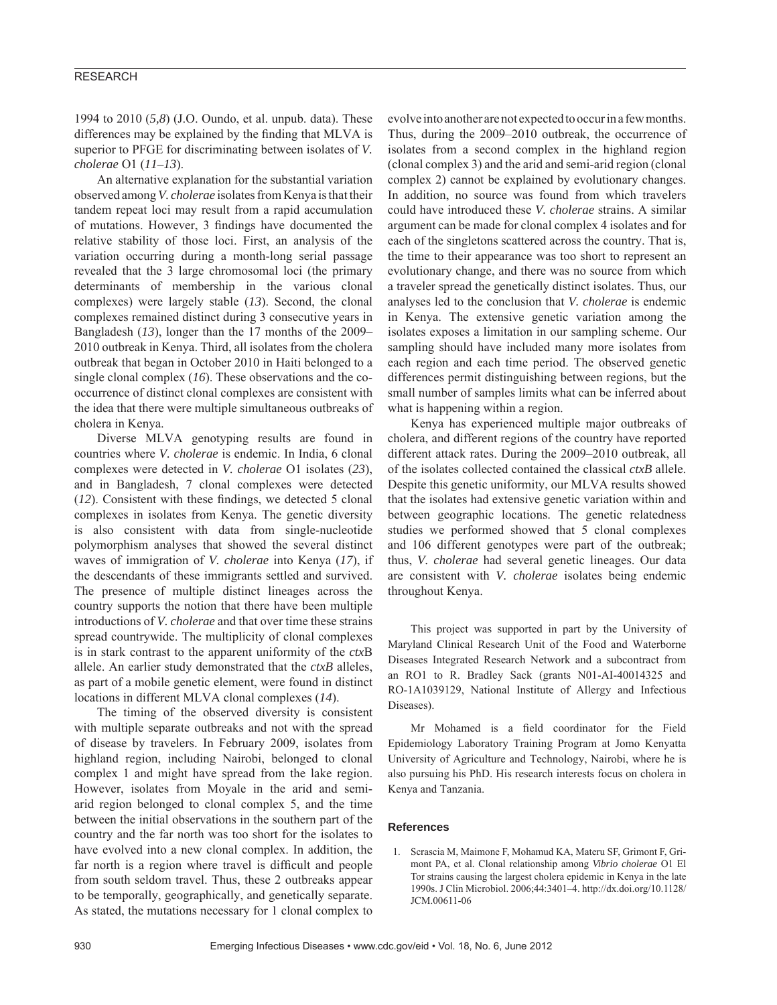#### RESEARCH

1994 to 2010 (*5,8*) (J.O. Oundo, et al. unpub. data). These differences may be explained by the finding that MLVA is superior to PFGE for discriminating between isolates of *V. cholerae* O1 (*11–13*).

An alternative explanation for the substantial variation observed among *V. cholerae* isolates from Kenya is that their tandem repeat loci may result from a rapid accumulation of mutations. However, 3 findings have documented the relative stability of those loci. First, an analysis of the variation occurring during a month-long serial passage revealed that the 3 large chromosomal loci (the primary determinants of membership in the various clonal complexes) were largely stable (*13*). Second, the clonal complexes remained distinct during 3 consecutive years in Bangladesh (*13*), longer than the 17 months of the 2009– 2010 outbreak in Kenya. Third, all isolates from the cholera outbreak that began in October 2010 in Haiti belonged to a single clonal complex (*16*). These observations and the cooccurrence of distinct clonal complexes are consistent with the idea that there were multiple simultaneous outbreaks of cholera in Kenya.

Diverse MLVA genotyping results are found in countries where *V. cholerae* is endemic. In India, 6 clonal complexes were detected in *V. cholerae* O1 isolates (*23*), and in Bangladesh, 7 clonal complexes were detected  $(12)$ . Consistent with these findings, we detected 5 clonal complexes in isolates from Kenya. The genetic diversity is also consistent with data from single-nucleotide polymorphism analyses that showed the several distinct waves of immigration of *V. cholerae* into Kenya (*17*), if the descendants of these immigrants settled and survived. The presence of multiple distinct lineages across the country supports the notion that there have been multiple introductions of *V. cholerae* and that over time these strains spread countrywide. The multiplicity of clonal complexes is in stark contrast to the apparent uniformity of the *ctx*B allele. An earlier study demonstrated that the *ctxB* alleles, as part of a mobile genetic element, were found in distinct locations in different MLVA clonal complexes (*14*).

The timing of the observed diversity is consistent with multiple separate outbreaks and not with the spread of disease by travelers. In February 2009, isolates from highland region, including Nairobi, belonged to clonal complex 1 and might have spread from the lake region. However, isolates from Moyale in the arid and semiarid region belonged to clonal complex 5, and the time between the initial observations in the southern part of the country and the far north was too short for the isolates to have evolved into a new clonal complex. In addition, the far north is a region where travel is difficult and people from south seldom travel. Thus, these 2 outbreaks appear to be temporally, geographically, and genetically separate. As stated, the mutations necessary for 1 clonal complex to evolve into another are not expected to occur in a few months. Thus, during the 2009–2010 outbreak, the occurrence of isolates from a second complex in the highland region (clonal complex 3) and the arid and semi-arid region (clonal complex 2) cannot be explained by evolutionary changes. In addition, no source was found from which travelers could have introduced these *V. cholerae* strains. A similar argument can be made for clonal complex 4 isolates and for each of the singletons scattered across the country. That is, the time to their appearance was too short to represent an evolutionary change, and there was no source from which a traveler spread the genetically distinct isolates. Thus, our analyses led to the conclusion that *V. cholerae* is endemic in Kenya. The extensive genetic variation among the isolates exposes a limitation in our sampling scheme. Our sampling should have included many more isolates from each region and each time period. The observed genetic differences permit distinguishing between regions, but the small number of samples limits what can be inferred about what is happening within a region.

Kenya has experienced multiple major outbreaks of cholera, and different regions of the country have reported different attack rates. During the 2009–2010 outbreak, all of the isolates collected contained the classical *ctxB* allele. Despite this genetic uniformity, our MLVA results showed that the isolates had extensive genetic variation within and between geographic locations. The genetic relatedness studies we performed showed that 5 clonal complexes and 106 different genotypes were part of the outbreak; thus, *V. cholerae* had several genetic lineages. Our data are consistent with *V. cholerae* isolates being endemic throughout Kenya.

This project was supported in part by the University of Maryland Clinical Research Unit of the Food and Waterborne Diseases Integrated Research Network and a subcontract from an RO1 to R. Bradley Sack (grants N01-AI-40014325 and RO-1A1039129, National Institute of Allergy and Infectious Diseases).

Mr Mohamed is a field coordinator for the Field Epidemiology Laboratory Training Program at Jomo Kenyatta University of Agriculture and Technology, Nairobi, where he is also pursuing his PhD. His research interests focus on cholera in Kenya and Tanzania.

#### **References**

 1. Scrascia M, Maimone F, Mohamud KA, Materu SF, Grimont F, Grimont PA, et al. Clonal relationship among *Vibrio cholerae* O1 El Tor strains causing the largest cholera epidemic in Kenya in the late 1990s. J Clin Microbiol. 2006;44:3401–4. http://dx.doi.org/10.1128/ JCM.00611-06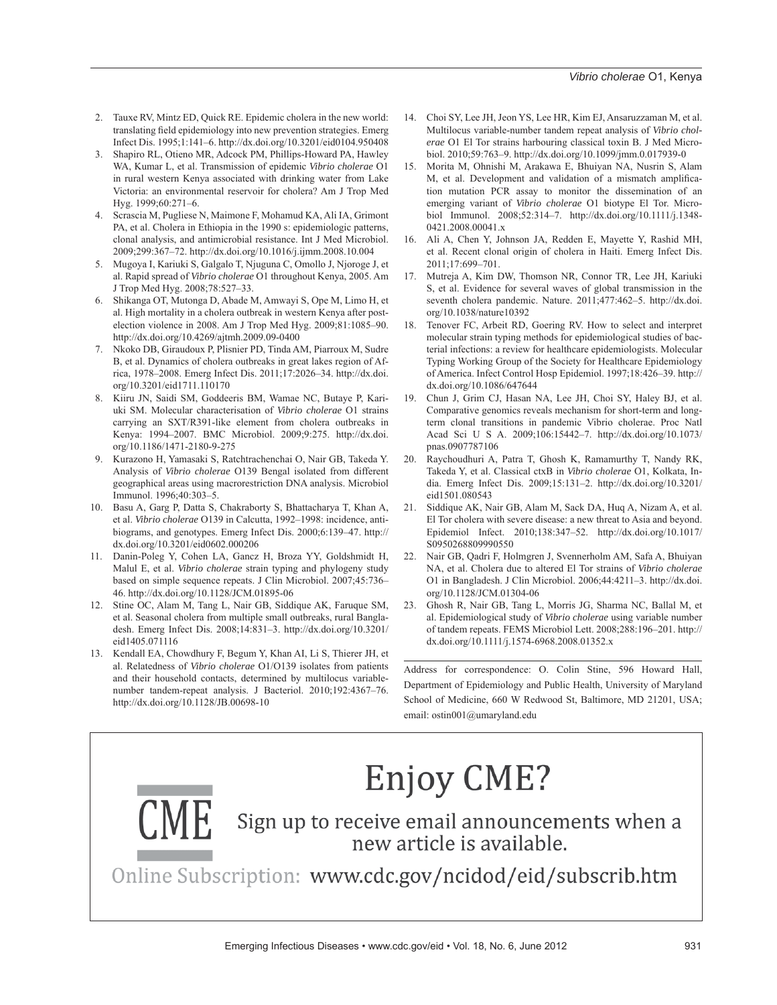- 2. Tauxe RV, Mintz ED, Quick RE. Epidemic cholera in the new world: translating field epidemiology into new prevention strategies. Emerg Infect Dis. 1995;1:141–6. http://dx.doi.org/10.3201/eid0104.950408
- 3. Shapiro RL, Otieno MR, Adcock PM, Phillips-Howard PA, Hawley WA, Kumar L, et al. Transmission of epidemic *Vibrio cholerae* O1 in rural western Kenya associated with drinking water from Lake Victoria: an environmental reservoir for cholera? Am J Trop Med Hyg. 1999;60:271–6.
- 4. Scrascia M, Pugliese N, Maimone F, Mohamud KA, Ali IA, Grimont PA, et al. Cholera in Ethiopia in the 1990 s: epidemiologic patterns, clonal analysis, and antimicrobial resistance. Int J Med Microbiol. 2009;299:367–72. http://dx.doi.org/10.1016/j.ijmm.2008.10.004
- 5. Mugoya I, Kariuki S, Galgalo T, Njuguna C, Omollo J, Njoroge J, et al. Rapid spread of *Vibrio cholerae* O1 throughout Kenya, 2005. Am J Trop Med Hyg. 2008;78:527–33.
- 6. Shikanga OT, Mutonga D, Abade M, Amwayi S, Ope M, Limo H, et al. High mortality in a cholera outbreak in western Kenya after postelection violence in 2008. Am J Trop Med Hyg. 2009;81:1085–90. http://dx.doi.org/10.4269/ajtmh.2009.09-0400
- 7. Nkoko DB, Giraudoux P, Plisnier PD, Tinda AM, Piarroux M, Sudre B, et al. Dynamics of cholera outbreaks in great lakes region of Africa, 1978–2008. Emerg Infect Dis. 2011;17:2026–34. http://dx.doi. org/10.3201/eid1711.110170
- 8. Kiiru JN, Saidi SM, Goddeeris BM, Wamae NC, Butaye P, Kariuki SM. Molecular characterisation of *Vibrio cholerae* O1 strains carrying an SXT/R391-like element from cholera outbreaks in Kenya: 1994–2007. BMC Microbiol. 2009;9:275. http://dx.doi. org/10.1186/1471-2180-9-275
- 9. Kurazono H, Yamasaki S, Ratchtrachenchai O, Nair GB, Takeda Y. Analysis of *Vibrio cholerae* O139 Bengal isolated from different geographical areas using macrorestriction DNA analysis. Microbiol Immunol. 1996;40:303–5.
- 10. Basu A, Garg P, Datta S, Chakraborty S, Bhattacharya T, Khan A, et al. *Vibrio cholerae* O139 in Calcutta, 1992–1998: incidence, antibiograms, and genotypes. Emerg Infect Dis. 2000;6:139–47. http:// dx.doi.org/10.3201/eid0602.000206
- 11. Danin-Poleg Y, Cohen LA, Gancz H, Broza YY, Goldshmidt H, Malul E, et al. *Vibrio cholerae* strain typing and phylogeny study based on simple sequence repeats. J Clin Microbiol. 2007;45:736– 46. http://dx.doi.org/10.1128/JCM.01895-06
- 12. Stine OC, Alam M, Tang L, Nair GB, Siddique AK, Faruque SM, et al. Seasonal cholera from multiple small outbreaks, rural Bangladesh. Emerg Infect Dis. 2008;14:831–3. http://dx.doi.org/10.3201/ eid1405.071116
- 13. Kendall EA, Chowdhury F, Begum Y, Khan AI, Li S, Thierer JH, et al. Relatedness of *Vibrio cholerae* O1/O139 isolates from patients and their household contacts, determined by multilocus variablenumber tandem-repeat analysis. J Bacteriol. 2010;192:4367–76. http://dx.doi.org/10.1128/JB.00698-10
- 14. Choi SY, Lee JH, Jeon YS, Lee HR, Kim EJ, Ansaruzzaman M, et al. Multilocus variable-number tandem repeat analysis of *Vibrio cholerae* O1 El Tor strains harbouring classical toxin B. J Med Microbiol. 2010;59:763–9. http://dx.doi.org/10.1099/jmm.0.017939-0
- 15. Morita M, Ohnishi M, Arakawa E, Bhuiyan NA, Nusrin S, Alam M, et al. Development and validation of a mismatch amplification mutation PCR assay to monitor the dissemination of an emerging variant of *Vibrio cholerae* O1 biotype El Tor. Microbiol Immunol. 2008;52:314–7. http://dx.doi.org/10.1111/j.1348- 0421.2008.00041.x
- 16. Ali A, Chen Y, Johnson JA, Redden E, Mayette Y, Rashid MH, et al. Recent clonal origin of cholera in Haiti. Emerg Infect Dis. 2011;17:699–701.
- 17. Mutreja A, Kim DW, Thomson NR, Connor TR, Lee JH, Kariuki S, et al. Evidence for several waves of global transmission in the seventh cholera pandemic. Nature. 2011;477:462–5. http://dx.doi. org/10.1038/nature10392
- 18. Tenover FC, Arbeit RD, Goering RV. How to select and interpret molecular strain typing methods for epidemiological studies of bacterial infections: a review for healthcare epidemiologists. Molecular Typing Working Group of the Society for Healthcare Epidemiology of America. Infect Control Hosp Epidemiol. 1997;18:426–39. http:// dx.doi.org/10.1086/647644
- 19. Chun J, Grim CJ, Hasan NA, Lee JH, Choi SY, Haley BJ, et al. Comparative genomics reveals mechanism for short-term and longterm clonal transitions in pandemic Vibrio cholerae. Proc Natl Acad Sci U S A. 2009;106:15442–7. http://dx.doi.org/10.1073/ pnas.0907787106
- 20. Raychoudhuri A, Patra T, Ghosh K, Ramamurthy T, Nandy RK, Takeda Y, et al. Classical ctxB in *Vibrio cholerae* O1, Kolkata, India. Emerg Infect Dis. 2009;15:131–2. http://dx.doi.org/10.3201/ eid1501.080543
- 21. Siddique AK, Nair GB, Alam M, Sack DA, Huq A, Nizam A, et al. El Tor cholera with severe disease: a new threat to Asia and beyond. Epidemiol Infect. 2010;138:347–52. http://dx.doi.org/10.1017/ S0950268809990550
- 22. Nair GB, Qadri F, Holmgren J, Svennerholm AM, Safa A, Bhuiyan NA, et al. Cholera due to altered El Tor strains of *Vibrio cholerae* O1 in Bangladesh. J Clin Microbiol. 2006;44:4211–3. http://dx.doi. org/10.1128/JCM.01304-06
- 23. Ghosh R, Nair GB, Tang L, Morris JG, Sharma NC, Ballal M, et al. Epidemiological study of *Vibrio cholerae* using variable number of tandem repeats. FEMS Microbiol Lett. 2008;288:196–201. http:// dx.doi.org/10.1111/j.1574-6968.2008.01352.x

Address for correspondence: O. Colin Stine, 596 Howard Hall, Department of Epidemiology and Public Health, University of Maryland School of Medicine, 660 W Redwood St, Baltimore, MD 21201, USA; email: ostin001@umaryland.edu

# **Enjoy CME?**

Sign up to receive email announcements when a new article is available.

Online Subscription: www.cdc.gov/ncidod/eid/subscrib.htm